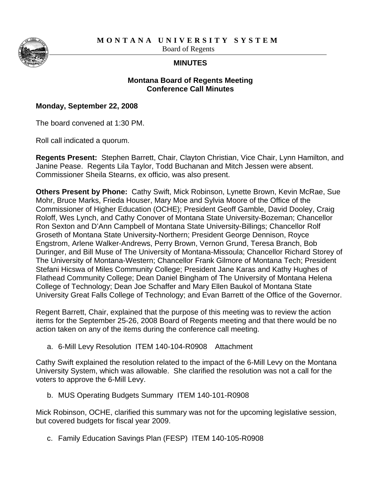**MONTANA UNIVERSITY SYSTEM** 

Board of Regents

## **MINUTES**

## **Montana Board of Regents Meeting Conference Call Minutes**

## **Monday, September 22, 2008**

The board convened at 1:30 PM.

Roll call indicated a quorum.

**Regents Present:** Stephen Barrett, Chair, Clayton Christian, Vice Chair, Lynn Hamilton, and Janine Pease. Regents Lila Taylor, Todd Buchanan and Mitch Jessen were absent. Commissioner Sheila Stearns, ex officio, was also present.

**Others Present by Phone:** Cathy Swift, Mick Robinson, Lynette Brown, Kevin McRae, Sue Mohr, Bruce Marks, Frieda Houser, Mary Moe and Sylvia Moore of the Office of the Commissioner of Higher Education (OCHE); President Geoff Gamble, David Dooley, Craig Roloff, Wes Lynch, and Cathy Conover of Montana State University-Bozeman; Chancellor Ron Sexton and D'Ann Campbell of Montana State University-Billings; Chancellor Rolf Groseth of Montana State University-Northern; President George Dennison, Royce Engstrom, Arlene Walker-Andrews, Perry Brown, Vernon Grund, Teresa Branch, Bob Duringer, and Bill Muse of The University of Montana-Missoula; Chancellor Richard Storey of The University of Montana-Western; Chancellor Frank Gilmore of Montana Tech; President Stefani Hicswa of Miles Community College; President Jane Karas and Kathy Hughes of Flathead Community College; Dean Daniel Bingham of The University of Montana Helena College of Technology; Dean Joe Schaffer and Mary Ellen Baukol of Montana State University Great Falls College of Technology; and Evan Barrett of the Office of the Governor.

Regent Barrett, Chair, explained that the purpose of this meeting was to review the action items for the September 25-26, 2008 Board of Regents meeting and that there would be no action taken on any of the items during the conference call meeting.

a. 6-Mill Levy Resolution ITEM 140-104-R0908 Attachment

Cathy Swift explained the resolution related to the impact of the 6-Mill Levy on the Montana University System, which was allowable. She clarified the resolution was not a call for the voters to approve the 6-Mill Levy.

b. MUS Operating Budgets Summary ITEM 140-101-R0908

Mick Robinson, OCHE, clarified this summary was not for the upcoming legislative session, but covered budgets for fiscal year 2009.

c. Family Education Savings Plan (FESP) ITEM 140-105-R0908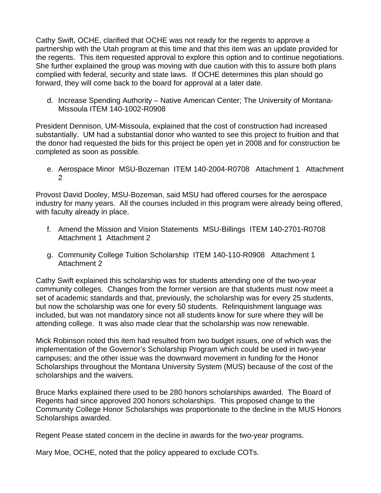Cathy Swift, OCHE, clarified that OCHE was not ready for the regents to approve a partnership with the Utah program at this time and that this item was an update provided for the regents. This item requested approval to explore this option and to continue negotiations. She further explained the group was moving with due caution with this to assure both plans complied with federal, security and state laws. If OCHE determines this plan should go forward, they will come back to the board for approval at a later date.

d. Increase Spending Authority – Native American Center; The University of Montana-Missoula ITEM 140-1002-R0908

President Dennison, UM-Missoula, explained that the cost of construction had increased substantially. UM had a substantial donor who wanted to see this project to fruition and that the donor had requested the bids for this project be open yet in 2008 and for construction be completed as soon as possible.

e. Aerospace Minor MSU-Bozeman ITEM 140-2004-R0708 Attachment 1 Attachment 2

Provost David Dooley, MSU-Bozeman, said MSU had offered courses for the aerospace industry for many years. All the courses included in this program were already being offered, with faculty already in place.

- f. Amend the Mission and Vision Statements MSU-Billings ITEM 140-2701-R0708 Attachment 1 Attachment 2
- g. Community College Tuition Scholarship ITEM 140-110-R0908 Attachment 1 Attachment 2

Cathy Swift explained this scholarship was for students attending one of the two-year community colleges. Changes from the former version are that students must now meet a set of academic standards and that, previously, the scholarship was for every 25 students, but now the scholarship was one for every 50 students. Relinquishment language was included, but was not mandatory since not all students know for sure where they will be attending college. It was also made clear that the scholarship was now renewable.

Mick Robinson noted this item had resulted from two budget issues, one of which was the implementation of the Governor's Scholarship Program which could be used in two-year campuses; and the other issue was the downward movement in funding for the Honor Scholarships throughout the Montana University System (MUS) because of the cost of the scholarships and the waivers.

Bruce Marks explained there used to be 280 honors scholarships awarded. The Board of Regents had since approved 200 honors scholarships. This proposed change to the Community College Honor Scholarships was proportionate to the decline in the MUS Honors Scholarships awarded.

Regent Pease stated concern in the decline in awards for the two-year programs.

Mary Moe, OCHE, noted that the policy appeared to exclude COTs.